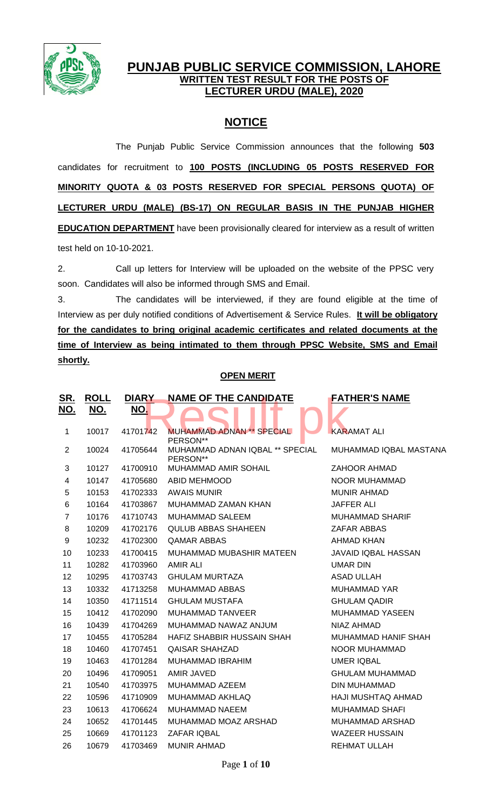

# **PUNJAB PUBLIC SERVICE COMMISSION, LAHORE WRITTEN TEST RESULT FOR THE POSTS OF LECTURER URDU (MALE), 2020**

# **NOTICE**

The Punjab Public Service Commission announces that the following **503** candidates for recruitment to **100 POSTS (INCLUDING 05 POSTS RESERVED FOR MINORITY QUOTA & 03 POSTS RESERVED FOR SPECIAL PERSONS QUOTA) OF LECTURER URDU (MALE) (BS-17) ON REGULAR BASIS IN THE PUNJAB HIGHER EDUCATION DEPARTMENT** have been provisionally cleared for interview as a result of written test held on 10-10-2021.

2. Call up letters for Interview will be uploaded on the website of the PPSC very soon. Candidates will also be informed through SMS and Email.

3. The candidates will be interviewed, if they are found eligible at the time of Interview as per duly notified conditions of Advertisement & Service Rules. **It will be obligatory for the candidates to bring original academic certificates and related documents at the time of Interview as being intimated to them through PPSC Website, SMS and Email shortly.**

## **OPEN MERIT**

| <u>SR.</u>              | <b>ROLL</b> | <b>DIARY</b> | <b>NAME OF THE CANDIDATE</b>                           | <b>FATHER'S NAME</b>       |
|-------------------------|-------------|--------------|--------------------------------------------------------|----------------------------|
| <u>NO.</u>              | <u>NO.</u>  | NO.          |                                                        |                            |
|                         |             |              |                                                        |                            |
| 1                       | 10017       | 41701742     | <b>MUHAMMAD ADNAN<sup>**</sup> SPECIAL</b><br>PERSON** | <b>KARAMAT ALI</b>         |
| $\overline{2}$          | 10024       | 41705644     | MUHAMMAD ADNAN IQBAL ** SPECIAL<br>PERSON**            | MUHAMMAD IQBAL MASTANA     |
| 3                       | 10127       | 41700910     | MUHAMMAD AMIR SOHAIL                                   | <b>ZAHOOR AHMAD</b>        |
| $\overline{\mathbf{4}}$ | 10147       | 41705680     | <b>ABID MEHMOOD</b>                                    | NOOR MUHAMMAD              |
| 5                       | 10153       | 41702333     | <b>AWAIS MUNIR</b>                                     | <b>MUNIR AHMAD</b>         |
| 6                       | 10164       | 41703867     | MUHAMMAD ZAMAN KHAN                                    | <b>JAFFER ALI</b>          |
| $\overline{7}$          | 10176       | 41710743     | MUHAMMAD SALEEM                                        | <b>MUHAMMAD SHARIF</b>     |
| 8                       | 10209       | 41702176     | <b>QULUB ABBAS SHAHEEN</b>                             | ZAFAR ABBAS                |
| 9                       | 10232       | 41702300     | <b>QAMAR ABBAS</b>                                     | <b>AHMAD KHAN</b>          |
| 10                      | 10233       | 41700415     | MUHAMMAD MUBASHIR MATEEN                               | <b>JAVAID IQBAL HASSAN</b> |
| 11                      | 10282       | 41703960     | <b>AMIR ALI</b>                                        | <b>UMAR DIN</b>            |
| 12                      | 10295       | 41703743     | <b>GHULAM MURTAZA</b>                                  | <b>ASAD ULLAH</b>          |
| 13                      | 10332       | 41713258     | <b>MUHAMMAD ABBAS</b>                                  | <b>MUHAMMAD YAR</b>        |
| 14                      | 10350       | 41711514     | <b>GHULAM MUSTAFA</b>                                  | <b>GHULAM QADIR</b>        |
| 15                      | 10412       | 41702090     | <b>MUHAMMAD TANVEER</b>                                | MUHAMMAD YASEEN            |
| 16                      | 10439       | 41704269     | MUHAMMAD NAWAZ ANJUM                                   | NIAZ AHMAD                 |
| 17                      | 10455       | 41705284     | HAFIZ SHABBIR HUSSAIN SHAH                             | MUHAMMAD HANIF SHAH        |
| 18                      | 10460       | 41707451     | <b>QAISAR SHAHZAD</b>                                  | <b>NOOR MUHAMMAD</b>       |
| 19                      | 10463       | 41701284     | MUHAMMAD IBRAHIM                                       | <b>UMER IQBAL</b>          |
| 20                      | 10496       | 41709051     | AMIR JAVED                                             | <b>GHULAM MUHAMMAD</b>     |
| 21                      | 10540       | 41703975     | MUHAMMAD AZEEM                                         | DIN MUHAMMAD               |
| 22                      | 10596       | 41710909     | MUHAMMAD AKHLAQ                                        | HAJI MUSHTAQ AHMAD         |
| 23                      | 10613       | 41706624     | <b>MUHAMMAD NAEEM</b>                                  | <b>MUHAMMAD SHAFI</b>      |
| 24                      | 10652       | 41701445     | MUHAMMAD MOAZ ARSHAD                                   | MUHAMMAD ARSHAD            |
| 25                      | 10669       | 41701123     | ZAFAR IQBAL                                            | <b>WAZEER HUSSAIN</b>      |
| 26                      | 10679       | 41703469     | <b>MUNIR AHMAD</b>                                     | <b>REHMAT ULLAH</b>        |
|                         |             |              |                                                        |                            |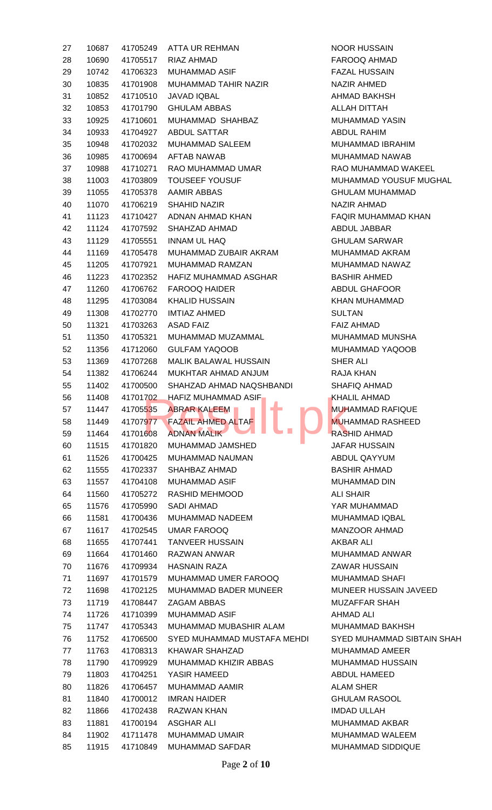| 27 | 10687 |          | 41705249 ATTA UR REHMAN                                           | NOOR H            |
|----|-------|----------|-------------------------------------------------------------------|-------------------|
| 28 | 10690 | 41705517 | RIAZ AHMAD                                                        | <b>FAROO</b>      |
| 29 | 10742 | 41706323 | MUHAMMAD ASIF                                                     | <b>FAZAL</b>      |
| 30 | 10835 | 41701908 | MUHAMMAD TAHIR NAZIR                                              | <b>NAZIR A</b>    |
| 31 | 10852 | 41710510 | <b>JAVAD IQBAL</b>                                                | AHMAD             |
| 32 | 10853 | 41701790 | <b>GHULAM ABBAS</b>                                               | <b>ALLAH D</b>    |
| 33 | 10925 | 41710601 | MUHAMMAD SHAHBAZ                                                  | <b>MUHAMI</b>     |
| 34 | 10933 | 41704927 | <b>ABDUL SATTAR</b>                                               | <b>ABDUL F</b>    |
| 35 | 10948 | 41702032 | MUHAMMAD SALEEM                                                   | <b>MUHAMI</b>     |
| 36 | 10985 | 41700694 | AFTAB NAWAB                                                       | <b>MUHAMI</b>     |
| 37 | 10988 |          | 41710271 RAO MUHAMMAD UMAR                                        | <b>RAO MU</b>     |
| 38 | 11003 | 41703809 | <b>TOUSEEF YOUSUF</b>                                             | <b>MUHAMI</b>     |
| 39 | 11055 | 41705378 | AAMIR ABBAS                                                       | <b>GHULAN</b>     |
| 40 | 11070 | 41706219 | <b>SHAHID NAZIR</b>                                               | <b>NAZIR A</b>    |
| 41 | 11123 |          | 41710427 ADNAN AHMAD KHAN                                         | <b>FAQIR M</b>    |
| 42 | 11124 | 41707592 | SHAHZAD AHMAD                                                     | ABDUL.            |
| 43 | 11129 | 41705551 | <b>INNAM UL HAQ</b>                                               | <b>GHULAN</b>     |
| 44 | 11169 | 41705478 | MUHAMMAD ZUBAIR AKRAM                                             | <b>MUHAMI</b>     |
| 45 | 11205 | 41707921 | MUHAMMAD RAMZAN                                                   | <b>MUHAMI</b>     |
| 46 | 11223 | 41702352 | HAFIZ MUHAMMAD ASGHAR                                             | <b>BASHIR</b>     |
| 47 | 11260 | 41706762 | <b>FAROOQ HAIDER</b>                                              | ABDUL 0           |
| 48 | 11295 | 41703084 | KHALID HUSSAIN                                                    | <b>KHAN M</b>     |
|    |       |          |                                                                   | <b>SULTAN</b>     |
| 49 | 11308 | 41702770 | <b>IMTIAZ AHMED</b>                                               |                   |
| 50 | 11321 | 41703263 | <b>ASAD FAIZ</b>                                                  | <b>FAIZ AH</b>    |
| 51 | 11350 | 41705321 | MUHAMMAD MUZAMMAL                                                 | <b>MUHAMI</b>     |
| 52 | 11356 | 41712060 | <b>GULFAM YAQOOB</b>                                              | <b>MUHAMI</b>     |
| 53 | 11369 | 41707268 | MALIK BALAWAL HUSSAIN                                             | <b>SHER AI</b>    |
| 54 | 11382 | 41706244 | MUKHTAR AHMAD ANJUM                                               | RAJA KH           |
| 55 | 11402 | 41700500 | SHAHZAD AHMAD NAQSHBANDI                                          | <b>SHAFIQ</b>     |
| 56 | 11408 |          | 41701702 HAFIZ MUHAMMAD ASIF<br><b>Contract Contract Contract</b> | KHALIL            |
| 57 | 11447 | 41705535 | <b>ABRAR KALEEM</b><br>E.                                         | <b>MUHAMI</b>     |
| 58 | 11449 | 41707977 | <b>FAZAIL AHMED ALTAF</b>                                         | <b>MUHAMI</b>     |
| 59 | 11464 | 41701608 | <b>ADNAN MALIK</b>                                                | <b>RASHID</b>     |
| 60 | 11515 | 41701820 | MUHAMMAD JAMSHED                                                  | <b>JAFAR H</b>    |
| 61 | 11526 | 41700425 | <b>MUHAMMAD NAUMAN</b>                                            | ABDUL 0           |
| 62 | 11555 | 41702337 | SHAHBAZ AHMAD                                                     | <b>BASHIR</b>     |
| 63 | 11557 | 41704108 | <b>MUHAMMAD ASIF</b>                                              | <b>MUHAMI</b>     |
| 64 | 11560 | 41705272 | RASHID MEHMOOD                                                    | <b>ALI SHA</b>    |
| 65 | 11576 | 41705990 | <b>SADI AHMAD</b>                                                 | YAR MU            |
| 66 | 11581 | 41700436 | MUHAMMAD NADEEM                                                   | <b>MUHAMI</b>     |
| 67 | 11617 | 41702545 | <b>UMAR FAROOQ</b>                                                | MANZO0            |
| 68 | 11655 | 41707441 | <b>TANVEER HUSSAIN</b>                                            | AKBAR /           |
| 69 | 11664 | 41701460 | RAZWAN ANWAR                                                      | <b>MUHAMI</b>     |
| 70 | 11676 | 41709934 | <b>HASNAIN RAZA</b>                                               | ZAWAR             |
| 71 | 11697 | 41701579 | MUHAMMAD UMER FAROOQ                                              | <b>MUHAMI</b>     |
| 72 | 11698 | 41702125 | <b>MUHAMMAD BADER MUNEER</b>                                      | <b>MUNEEF</b>     |
| 73 | 11719 | 41708447 | ZAGAM ABBAS                                                       | <b>MUZAFF</b>     |
| 74 | 11726 | 41710399 | <b>MUHAMMAD ASIF</b>                                              | AHMAD             |
| 75 | 11747 | 41705343 | MUHAMMAD MUBASHIR ALAM                                            | <b>MUHAMI</b>     |
| 76 | 11752 | 41706500 | SYED MUHAMMAD MUSTAFA MEHDI                                       | SYED <sub>M</sub> |
| 77 | 11763 | 41708313 | <b>KHAWAR SHAHZAD</b>                                             | <b>MUHAMI</b>     |
| 78 | 11790 | 41709929 | MUHAMMAD KHIZIR ABBAS                                             | <b>MUHAMI</b>     |
| 79 | 11803 | 41704251 | YASIR HAMEED                                                      | <b>ABDUL F</b>    |
| 80 | 11826 | 41706457 | MUHAMMAD AAMIR                                                    | <b>ALAM SI</b>    |
| 81 | 11840 | 41700012 | <b>IMRAN HAIDER</b>                                               | <b>GHULAN</b>     |
| 82 | 11866 | 41702438 | <b>RAZWAN KHAN</b>                                                | <b>IMDAD L</b>    |
| 83 | 11881 | 41700194 | <b>ASGHAR ALI</b>                                                 | <b>MUHAMI</b>     |
| 84 | 11902 | 41711478 | MUHAMMAD UMAIR                                                    | <b>MUHAMI</b>     |
|    |       |          |                                                                   |                   |

**NOOR HUSSAIN** FAROOQ AHMAD FAZAL HUSSAIN NAZIR AHMED **AHMAD BAKHSH** ALLAH DITTAH MUHAMMAD YASIN ABDUL RAHIM MUHAMMAD IBRAHIM MUHAMMAD NAWAB RAO MUHAMMAD WAKEEL MUHAMMAD YOUSUF MUGHAL **GHULAM MUHAMMAD** NAZIR AHMAD FAQIR MUHAMMAD KHAN ABDUL JABBAR **GHULAM SARWAR** MUHAMMAD AKRAM MUHAMMAD NAWAZ BASHIR AHMED ABDUL GHAFOOR KHAN MUHAMMAD **FAIZ AHMAD** MUHAMMAD MUNSHA MUHAMMAD YAQOOB **SHER ALI** RAJA KHAN SHAFIQ AHMAD KHALIL AHMAD MUHAMMAD RAFIQUE MUHAMMAD RASHEED RASHID AHMAD **JAFAR HUSSAIN** ABDUL QAYYUM BASHIR AHMAD MUHAMMAD DIN **ALI SHAIR** YAR MUHAMMAD MUHAMMAD IQBAL MANZOOR AHMAD AKBAR ALI MUHAMMAD ANWAR ZAWAR HUSSAIN MUHAMMAD SHAFI MUNEER HUSSAIN JAVEED MUZAFFAR SHAH AHMAD ALI MUHAMMAD BAKHSH **SYED MUHAMMAD SIBTAIN SHAH** MUHAMMAD AMEER MUHAMMAD HUSSAIN ABDUL HAMEED **ALAM SHER GHULAM RASOOL IMDAD ULLAH** MUHAMMAD AKBAR MUHAMMAD WALEEM MUHAMMAD SIDDIQUE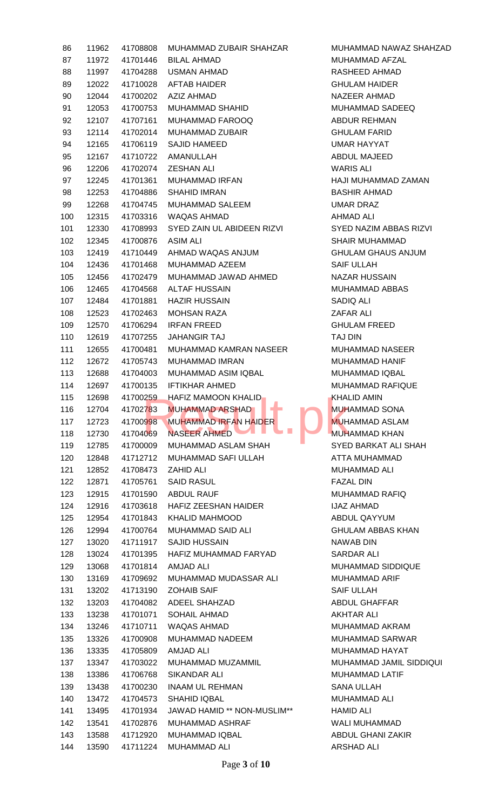| 86  | 11962 | 41708808 | MUHAMMAD ZUBAIR SHAHZAR      | <b>MUHAM</b>      |
|-----|-------|----------|------------------------------|-------------------|
| 87  | 11972 | 41701446 | <b>BILAL AHMAD</b>           | <b>MUHAM</b>      |
| 88  | 11997 | 41704288 | <b>USMAN AHMAD</b>           | <b>RASHEE</b>     |
| 89  | 12022 | 41710028 | <b>AFTAB HAIDER</b>          | <b>GHULAM</b>     |
| 90  | 12044 | 41700202 | <b>AZIZ AHMAD</b>            | <b>NAZEEF</b>     |
| 91  | 12053 | 41700753 | <b>MUHAMMAD SHAHID</b>       | <b>MUHAM</b>      |
| 92  | 12107 | 41707161 | MUHAMMAD FAROOQ              | <b>ABDUR</b>      |
| 93  | 12114 | 41702014 | <b>MUHAMMAD ZUBAIR</b>       | <b>GHULAM</b>     |
| 94  | 12165 | 41706119 | SAJID HAMEED                 | UMAR <sub>H</sub> |
| 95  | 12167 | 41710722 | <b>AMANULLAH</b>             | <b>ABDUL</b>      |
| 96  | 12206 | 41702074 | <b>ZESHAN ALI</b>            | WARIS /           |
| 97  | 12245 | 41701361 | MUHAMMAD IRFAN               | <b>HAJI MU</b>    |
| 98  | 12253 | 41704886 | <b>SHAHID IMRAN</b>          | <b>BASHIR</b>     |
| 99  | 12268 | 41704745 | <b>MUHAMMAD SALEEM</b>       | <b>UMAR D</b>     |
| 100 | 12315 | 41703316 | WAQAS AHMAD                  | <b>AHMAD</b>      |
| 101 | 12330 | 41708993 | SYED ZAIN UL ABIDEEN RIZVI   | SYED <sub>N</sub> |
| 102 | 12345 | 41700876 | ASIM ALI                     | <b>SHAIR N</b>    |
| 103 | 12419 | 41710449 | AHMAD WAQAS ANJUM            | <b>GHULAM</b>     |
| 104 | 12436 | 41701468 | MUHAMMAD AZEEM               | <b>SAIF UL</b>    |
| 105 | 12456 | 41702479 | MUHAMMAD JAWAD AHMED         | <b>NAZAR</b>      |
| 106 | 12465 | 41704568 | <b>ALTAF HUSSAIN</b>         | <b>MUHAM</b>      |
| 107 | 12484 | 41701881 | <b>HAZIR HUSSAIN</b>         | SADIQ A           |
| 108 | 12523 | 41702463 | <b>MOHSAN RAZA</b>           | ZAFAR /           |
| 109 | 12570 | 41706294 | <b>IRFAN FREED</b>           | <b>GHULAM</b>     |
| 110 | 12619 | 41707255 | <b>JAHANGIR TAJ</b>          | <b>TAJ DIN</b>    |
| 111 | 12655 | 41700481 | MUHAMMAD KAMRAN NASEER       | <b>MUHAM</b>      |
| 112 | 12672 | 41705743 | MUHAMMAD IMRAN               | <b>MUHAM</b>      |
| 113 | 12688 | 41704003 | MUHAMMAD ASIM IQBAL          | <b>MUHAM</b>      |
| 114 | 12697 | 41700135 | <b>IFTIKHAR AHMED</b>        | <b>MUHAM</b>      |
| 115 | 12698 |          | 41700259 HAFIZ MAMOON KHALID | <b>KHALID</b>     |
| 116 | 12704 | 41702783 | <b>MUHAMMAD ARSHAD</b>       | <b>MUHAM</b>      |
| 117 | 12723 | 41700998 | <b>MUHAMMAD IRFAN HAIDER</b> | <b>MUHAM</b>      |
| 118 | 12730 | 41704069 | <b>NASEER AHMED</b>          | <b>MUHAM</b>      |
| 119 | 12785 | 41700009 | MUHAMMAD ASLAM SHAH          | SYED B            |
| 120 | 12848 | 41712712 | MUHAMMAD SAFI ULLAH          | <b>ATTAM</b>      |
| 121 | 12852 | 41708473 | <b>ZAHID ALI</b>             | <b>MUHAM</b>      |
| 122 | 12871 | 41705761 | <b>SAID RASUL</b>            | <b>FAZAL D</b>    |
| 123 | 12915 | 41701590 | <b>ABDUL RAUF</b>            | <b>MUHAM</b>      |
| 124 | 12916 | 41703618 | HAFIZ ZEESHAN HAIDER         | <b>IJAZ AH</b>    |
| 125 | 12954 | 41701843 | <b>KHALID MAHMOOD</b>        | <b>ABDUL</b>      |
| 126 | 12994 | 41700764 | <b>MUHAMMAD SAID ALI</b>     | <b>GHULAM</b>     |
| 127 | 13020 | 41711917 | <b>SAJID HUSSAIN</b>         | <b>NAWAB</b>      |
| 128 | 13024 | 41701395 | HAFIZ MUHAMMAD FARYAD        | <b>SARDAF</b>     |
| 129 | 13068 | 41701814 | AMJAD ALI                    | <b>MUHAM</b>      |
| 130 | 13169 | 41709692 | MUHAMMAD MUDASSAR ALI        | <b>MUHAM</b>      |
| 131 | 13202 | 41713190 | <b>ZOHAIB SAIF</b>           | <b>SAIF UL</b>    |
| 132 | 13203 | 41704082 | ADEEL SHAHZAD                | <b>ABDUL</b>      |
| 133 | 13238 | 41701071 | <b>SOHAIL AHMAD</b>          | <b>AKHTAF</b>     |
| 134 | 13246 | 41710711 | WAQAS AHMAD                  | <b>MUHAM</b>      |
| 135 | 13326 | 41700908 | MUHAMMAD NADEEM              | <b>MUHAM</b>      |
| 136 | 13335 | 41705809 | AMJAD ALI                    | <b>MUHAM</b>      |
| 137 | 13347 | 41703022 | MUHAMMAD MUZAMMIL            | <b>MUHAM</b>      |
| 138 | 13386 | 41706768 | SIKANDAR ALI                 | <b>MUHAM</b>      |
| 139 | 13438 | 41700230 | <b>INAAM UL REHMAN</b>       | <b>SANAU</b>      |
| 140 | 13472 | 41704573 | <b>SHAHID IQBAL</b>          | <b>MUHAM</b>      |
| 141 | 13495 | 41701934 | JAWAD HAMID ** NON-MUSLIM**  | HAMID /           |
| 142 | 13541 | 41702876 | <b>MUHAMMAD ASHRAF</b>       | <b>WALI MI</b>    |
| 143 | 13588 | 41712920 | <b>MUHAMMAD IQBAL</b>        | <b>ABDUL</b>      |
| 144 | 13590 | 41711224 | <b>MUHAMMAD ALI</b>          | <b>ARSHAD</b>     |
|     |       |          |                              |                   |

MUHAMMAD NAWAZ SHAHZAD MUHAMMAD AFZAL RASHEED AHMAD **GHULAM HAIDER** NAZEER AHMAD MUHAMMAD SADEEQ ABDUR REHMAN **GHULAM FARID** UMAR HAYYAT ABDUL MAJEED WARIS ALI HAJI MUHAMMAD ZAMAN BASHIR AHMAD UMAR DRAZ AHMAD ALI SYED NAZIM ABBAS RIZVI SHAIR MUHAMMAD GHULAM GHAUS ANJUM SAIF ULLAH NAZAR HUSSAIN MUHAMMAD ABBAS SADIQ ALI ZAFAR ALI **GHULAM FREED** MUHAMMAD NASEER MUHAMMAD HANIF MUHAMMAD IQBAL MUHAMMAD RAFIQUE KHALID AMIN MUHAMMAD SONA MUHAMMAD ASLAM MUHAMMAD KHAN SYED BARKAT ALI SHAH ATTA MUHAMMAD MUHAMMAD ALI FAZAL DIN MUHAMMAD RAFIQ **IJAZ AHMAD** ABDUL QAYYUM **GHULAM ABBAS KHAN** NAWAB DIN SARDAR ALI MUHAMMAD SIDDIQUE MUHAMMAD ARIF SAIF ULLAH ABDUL GHAFFAR **AKHTAR ALI** MUHAMMAD AKRAM MUHAMMAD SARWAR MUHAMMAD HAYAT MUHAMMAD JAMIL SIDDIQUI MUHAMMAD LATIF SANA ULLAH MUHAMMAD ALI HAMID ALI WALI MUHAMMAD **ABDUL GHANI ZAKIR** ARSHAD ALI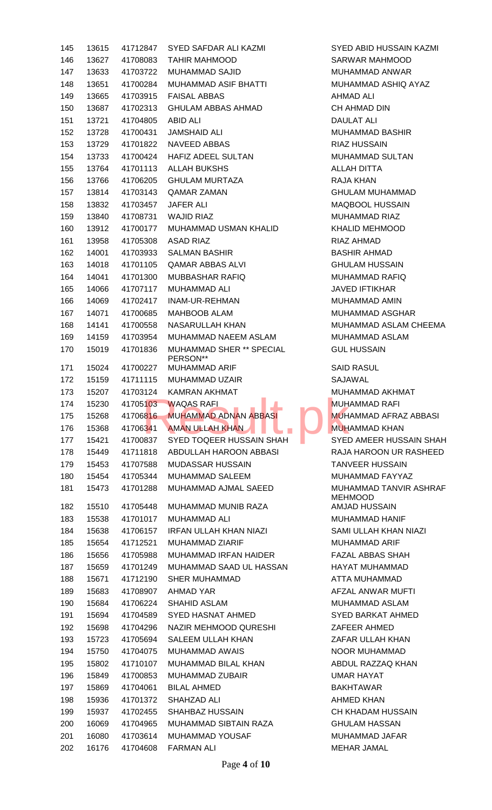| 145 | 13615 | 41712847 | SYED SAFDAR ALI KAZMI                                                                   | SYED ABID HUSSAIN KAZMI                  |
|-----|-------|----------|-----------------------------------------------------------------------------------------|------------------------------------------|
| 146 | 13627 | 41708083 | <b>TAHIR MAHMOOD</b>                                                                    | SARWAR MAHMOOD                           |
| 147 | 13633 | 41703722 | MUHAMMAD SAJID                                                                          | <b>MUHAMMAD ANWAR</b>                    |
| 148 | 13651 | 41700284 | MUHAMMAD ASIF BHATTI                                                                    | MUHAMMAD ASHIQ AYAZ                      |
| 149 | 13665 | 41703915 | <b>FAISAL ABBAS</b>                                                                     | <b>AHMAD ALI</b>                         |
| 150 | 13687 | 41702313 | <b>GHULAM ABBAS AHMAD</b>                                                               | CH AHMAD DIN                             |
| 151 | 13721 | 41704805 | <b>ABID ALI</b>                                                                         | <b>DAULAT ALI</b>                        |
| 152 | 13728 | 41700431 | <b>JAMSHAID ALI</b>                                                                     | <b>MUHAMMAD BASHIR</b>                   |
| 153 | 13729 | 41701822 | NAVEED ABBAS                                                                            | <b>RIAZ HUSSAIN</b>                      |
| 154 | 13733 | 41700424 | HAFIZ ADEEL SULTAN                                                                      | <b>MUHAMMAD SULTAN</b>                   |
| 155 | 13764 | 41701113 | <b>ALLAH BUKSHS</b>                                                                     | <b>ALLAH DITTA</b>                       |
| 156 | 13766 | 41706205 | <b>GHULAM MURTAZA</b>                                                                   | RAJA KHAN                                |
| 157 | 13814 | 41703143 | <b>QAMAR ZAMAN</b>                                                                      | <b>GHULAM MUHAMMAD</b>                   |
| 158 | 13832 | 41703457 | <b>JAFER ALI</b>                                                                        | MAQBOOL HUSSAIN                          |
| 159 | 13840 | 41708731 | <b>WAJID RIAZ</b>                                                                       | <b>MUHAMMAD RIAZ</b>                     |
| 160 | 13912 | 41700177 | MUHAMMAD USMAN KHALID                                                                   | <b>KHALID MEHMOOD</b>                    |
| 161 | 13958 | 41705308 | <b>ASAD RIAZ</b>                                                                        | <b>RIAZ AHMAD</b>                        |
| 162 | 14001 | 41703933 | <b>SALMAN BASHIR</b>                                                                    | <b>BASHIR AHMAD</b>                      |
| 163 | 14018 | 41701105 | <b>QAMAR ABBAS ALVI</b>                                                                 | <b>GHULAM HUSSAIN</b>                    |
| 164 | 14041 | 41701300 | MUBBASHAR RAFIQ                                                                         | <b>MUHAMMAD RAFIQ</b>                    |
| 165 | 14066 | 41707117 | <b>MUHAMMAD ALI</b>                                                                     | <b>JAVED IFTIKHAR</b>                    |
| 166 | 14069 | 41702417 | INAM-UR-REHMAN                                                                          | <b>MUHAMMAD AMIN</b>                     |
| 167 | 14071 | 41700685 | MAHBOOB ALAM                                                                            | <b>MUHAMMAD ASGHAR</b>                   |
| 168 | 14141 | 41700558 | NASARULLAH KHAN                                                                         | MUHAMMAD ASLAM CHEEMA                    |
| 169 | 14159 | 41703954 | MUHAMMAD NAEEM ASLAM                                                                    | <b>MUHAMMAD ASLAM</b>                    |
| 170 | 15019 | 41701836 | <b>MUHAMMAD SHER ** SPECIAL</b>                                                         | <b>GUL HUSSAIN</b>                       |
|     |       |          | PERSON**                                                                                |                                          |
| 171 | 15024 | 41700227 | <b>MUHAMMAD ARIF</b>                                                                    | <b>SAID RASUL</b>                        |
| 172 | 15159 |          | 41711115 MUHAMMAD UZAIR                                                                 | <b>SAJAWAL</b>                           |
| 173 | 15207 |          | 41703124 KAMRAN AKHMAT                                                                  | MUHAMMAD AKHMAT                          |
| 174 |       |          | <b>Contract Contract Contract Contract</b><br>15230  417051 <mark>03  WAQAS RAFI</mark> | <b>MUHAMMAD RAFI</b>                     |
| 175 | 15268 | 41706816 | <b>MUHAMMAD ADNAN ABBASI</b>                                                            | <b>MUHAMMAD AFRAZ ABBASI</b>             |
| 176 | 15368 | 41706341 | <b>AMAN ULLAH KHAN</b>                                                                  | <b>MUHAMMAD KHAN</b>                     |
| 177 | 15421 | 41700837 | SYED TOQEER HUSSAIN SHAH                                                                | SYED AMEER HUSSAIN SHAH                  |
| 178 | 15449 | 41711818 | ABDULLAH HAROON ABBASI                                                                  | RAJA HAROON UR RASHEED                   |
| 179 | 15453 | 41707588 | <b>MUDASSAR HUSSAIN</b>                                                                 | <b>TANVEER HUSSAIN</b>                   |
| 180 | 15454 | 41705344 | <b>MUHAMMAD SALEEM</b>                                                                  | MUHAMMAD FAYYAZ                          |
| 181 | 15473 | 41701288 | MUHAMMAD AJMAL SAEED                                                                    | MUHAMMAD TANVIR ASHRAF<br><b>MEHMOOD</b> |
| 182 | 15510 | 41705448 | <b>MUHAMMAD MUNIB RAZA</b>                                                              | AMJAD HUSSAIN                            |
| 183 | 15538 | 41701017 | <b>MUHAMMAD ALI</b>                                                                     | <b>MUHAMMAD HANIF</b>                    |
| 184 | 15638 | 41706157 | <b>IRFAN ULLAH KHAN NIAZI</b>                                                           | SAMI ULLAH KHAN NIAZI                    |
| 185 | 15654 | 41712521 | MUHAMMAD ZIARIF                                                                         | <b>MUHAMMAD ARIF</b>                     |
| 186 | 15656 | 41705988 | <b>MUHAMMAD IRFAN HAIDER</b>                                                            | <b>FAZAL ABBAS SHAH</b>                  |
| 187 | 15659 | 41701249 | MUHAMMAD SAAD UL HASSAN                                                                 | HAYAT MUHAMMAD                           |
| 188 | 15671 | 41712190 | <b>SHER MUHAMMAD</b>                                                                    | ATTA MUHAMMAD                            |
| 189 | 15683 | 41708907 | AHMAD YAR                                                                               | AFZAL ANWAR MUFTI                        |
| 190 | 15684 | 41706224 | <b>SHAHID ASLAM</b>                                                                     | MUHAMMAD ASLAM                           |
| 191 | 15694 | 41704589 | SYED HASNAT AHMED                                                                       | SYED BARKAT AHMED                        |
| 192 | 15698 | 41704296 | NAZIR MEHMOOD QURESHI                                                                   | ZAFEER AHMED                             |
| 193 | 15723 | 41705694 | SALEEM ULLAH KHAN                                                                       | ZAFAR ULLAH KHAN                         |
| 194 | 15750 | 41704075 | <b>MUHAMMAD AWAIS</b>                                                                   | NOOR MUHAMMAD                            |
| 195 | 15802 | 41710107 | MUHAMMAD BILAL KHAN                                                                     | ABDUL RAZZAQ KHAN                        |
| 196 | 15849 | 41700853 | <b>MUHAMMAD ZUBAIR</b>                                                                  | <b>UMAR HAYAT</b>                        |
| 197 | 15869 | 41704061 | <b>BILAL AHMED</b>                                                                      | <b>BAKHTAWAR</b>                         |
| 198 | 15936 | 41701372 | SHAHZAD ALI                                                                             | <b>AHMED KHAN</b>                        |
| 199 | 15937 | 41702455 | <b>SHAHBAZ HUSSAIN</b>                                                                  | <b>CH KHADAM HUSSAIN</b>                 |
| 200 | 16069 | 41704965 | MUHAMMAD SIBTAIN RAZA                                                                   | <b>GHULAM HASSAN</b>                     |
| 201 | 16080 | 41703614 | MUHAMMAD YOUSAF                                                                         | MUHAMMAD JAFAR                           |
| 202 | 16176 | 41704608 | <b>FARMAN ALI</b>                                                                       | <b>MEHAR JAMAL</b>                       |
|     |       |          |                                                                                         |                                          |

Page **4** of **10**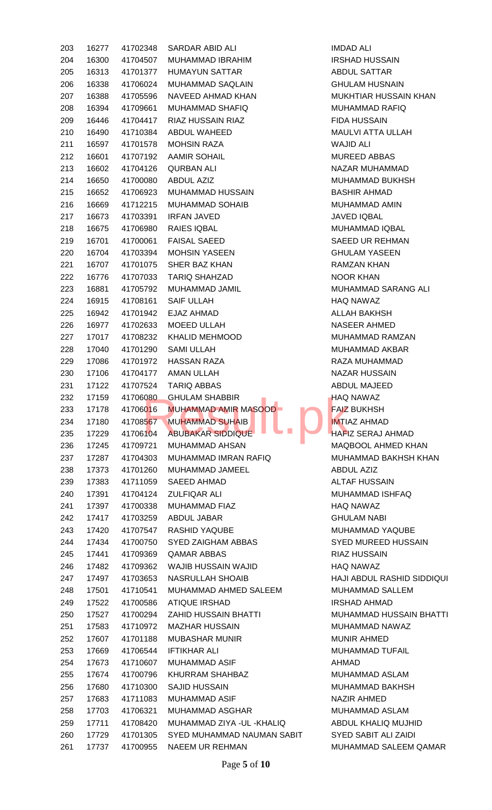| 203 | 16277 | 41702348 | SARDAR ABID ALI                            | <b>IMDAD ALI</b>           |
|-----|-------|----------|--------------------------------------------|----------------------------|
| 204 | 16300 | 41704507 | MUHAMMAD IBRAHIM                           | <b>IRSHAD HUSSAIN</b>      |
| 205 | 16313 | 41701377 | <b>HUMAYUN SATTAR</b>                      | <b>ABDUL SATTAR</b>        |
| 206 | 16338 | 41706024 | MUHAMMAD SAQLAIN                           | <b>GHULAM HUSNAIN</b>      |
| 207 | 16388 | 41705596 | NAVEED AHMAD KHAN                          | <b>MUKHTIAR HUSSAIN</b>    |
| 208 | 16394 | 41709661 | <b>MUHAMMAD SHAFIQ</b>                     | MUHAMMAD RAFIQ             |
| 209 | 16446 | 41704417 | <b>RIAZ HUSSAIN RIAZ</b>                   | <b>FIDA HUSSAIN</b>        |
| 210 | 16490 | 41710384 | ABDUL WAHEED                               | <b>MAULVI ATTA ULLAH</b>   |
| 211 | 16597 | 41701578 | <b>MOHSIN RAZA</b>                         | <b>WAJID ALI</b>           |
| 212 | 16601 | 41707192 | <b>AAMIR SOHAIL</b>                        | <b>MUREED ABBAS</b>        |
| 213 | 16602 | 41704126 | <b>QURBAN ALI</b>                          | NAZAR MUHAMMAD             |
| 214 | 16650 | 41700080 | <b>ABDUL AZIZ</b>                          | <b>MUHAMMAD BUKHS</b>      |
| 215 | 16652 | 41706923 | MUHAMMAD HUSSAIN                           | <b>BASHIR AHMAD</b>        |
| 216 | 16669 | 41712215 | <b>MUHAMMAD SOHAIB</b>                     | MUHAMMAD AMIN              |
| 217 | 16673 | 41703391 | <b>IRFAN JAVED</b>                         | <b>JAVED IQBAL</b>         |
| 218 | 16675 | 41706980 | RAIES IQBAL                                | MUHAMMAD IQBAL             |
| 219 | 16701 | 41700061 | <b>FAISAL SAEED</b>                        | <b>SAEED UR REHMAN</b>     |
| 220 | 16704 | 41703394 | <b>MOHSIN YASEEN</b>                       | <b>GHULAM YASEEN</b>       |
| 221 | 16707 | 41701075 | SHER BAZ KHAN                              | RAMZAN KHAN                |
| 222 | 16776 | 41707033 | <b>TARIQ SHAHZAD</b>                       | <b>NOOR KHAN</b>           |
| 223 | 16881 | 41705792 | MUHAMMAD JAMIL                             | <b>MUHAMMAD SARAN</b>      |
| 224 | 16915 | 41708161 | <b>SAIF ULLAH</b>                          | <b>HAQ NAWAZ</b>           |
| 225 | 16942 | 41701942 | EJAZ AHMAD                                 | ALLAH BAKHSH               |
|     | 16977 | 41702633 | MOEED ULLAH                                | NASEER AHMED               |
| 226 |       |          |                                            |                            |
| 227 | 17017 | 41708232 | <b>KHALID MEHMOOD</b>                      | <b>MUHAMMAD RAMZA</b>      |
| 228 | 17040 | 41701290 | <b>SAMI ULLAH</b>                          | <b>MUHAMMAD AKBAR</b>      |
| 229 | 17086 | 41701972 | <b>HASSAN RAZA</b>                         | RAZA MUHAMMAD              |
| 230 | 17106 | 41704177 | <b>AMAN ULLAH</b>                          | <b>NAZAR HUSSAIN</b>       |
| 231 | 17122 | 41707524 | <b>TARIQ ABBAS</b>                         | ABDUL MAJEED               |
| 232 | 17159 | 41706080 | <b>GHULAM SHABBIR</b><br><b>CONTRACTOR</b> | <b>HAQ NAWAZ</b>           |
| 233 | 17178 | 41706016 | <b>MUHAMMAD AMIR MASOOD-</b>               | <b>FAIZ BUKHSH</b>         |
| 234 | 17180 | 41708567 | <b>MUHAMMAD SUHAIB</b>                     | <b>IMTIAZ AHMAD</b>        |
| 235 | 17229 | 41706104 | <b>ABUBAKAR SIDDIQUE</b>                   | <b>HAFIZ SERAJ AHMAI</b>   |
| 236 | 17245 | 41709721 | <b>MUHAMMAD AHSAN</b>                      | MAQBOOL AHMED K            |
| 237 | 17287 | 41704303 | MUHAMMAD IMRAN RAFIQ                       | <b>MUHAMMAD BAKHS</b>      |
| 238 | 17373 | 41701260 | MUHAMMAD JAMEEL                            | <b>ABDUL AZIZ</b>          |
| 239 | 17383 | 41711059 | <b>SAEED AHMAD</b>                         | <b>ALTAF HUSSAIN</b>       |
| 240 | 17391 | 41704124 | <b>ZULFIQAR ALI</b>                        | <b>MUHAMMAD ISHFAC</b>     |
| 241 | 17397 | 41700338 | <b>MUHAMMAD FIAZ</b>                       | <b>HAQ NAWAZ</b>           |
| 242 | 17417 | 41703259 | ABDUL JABAR                                | <b>GHULAM NABI</b>         |
| 243 | 17420 | 41707547 | <b>RASHID YAQUBE</b>                       | MUHAMMAD YAQUB             |
| 244 | 17434 | 41700750 | SYED ZAIGHAM ABBAS                         | <b>SYED MUREED HUS</b>     |
| 245 | 17441 | 41709369 | <b>QAMAR ABBAS</b>                         | <b>RIAZ HUSSAIN</b>        |
| 246 | 17482 | 41709362 | WAJIB HUSSAIN WAJID                        | <b>HAQ NAWAZ</b>           |
| 247 | 17497 | 41703653 | <b>NASRULLAH SHOAIB</b>                    | HAJI ABDUL RASHID          |
| 248 | 17501 | 41710541 | MUHAMMAD AHMED SALEEM                      | <b>MUHAMMAD SALLEN</b>     |
| 249 | 17522 | 41700586 | <b>ATIQUE IRSHAD</b>                       | <b>IRSHAD AHMAD</b>        |
| 250 | 17527 | 41700294 | <b>ZAHID HUSSAIN BHATTI</b>                | <b>MUHAMMAD HUSSA</b>      |
| 251 | 17583 | 41710972 | <b>MAZHAR HUSSAIN</b>                      | <b>MUHAMMAD NAWAZ</b>      |
| 252 | 17607 | 41701188 | <b>MUBASHAR MUNIR</b>                      | <b>MUNIR AHMED</b>         |
| 253 | 17669 | 41706544 | <b>IFTIKHAR ALI</b>                        | <b>MUHAMMAD TUFAIL</b>     |
| 254 | 17673 | 41710607 | <b>MUHAMMAD ASIF</b>                       | AHMAD                      |
| 255 | 17674 | 41700796 | KHURRAM SHAHBAZ                            | MUHAMMAD ASLAM             |
| 256 | 17680 | 41710300 | <b>SAJID HUSSAIN</b>                       | MUHAMMAD BAKHS             |
| 257 | 17683 | 41711083 | <b>MUHAMMAD ASIF</b>                       | NAZIR AHMED                |
| 258 | 17703 | 41706321 | <b>MUHAMMAD ASGHAR</b>                     | <b>MUHAMMAD ASLAM</b>      |
| 259 | 17711 | 41708420 | MUHAMMAD ZIYA - UL - KHALIQ                | ABDUL KHALIQ MUJ           |
|     |       |          | SYED MUHAMMAD NAUMAN SABIT                 | <b>SYED SABIT ALI ZAII</b> |
| 260 | 17729 | 41701305 |                                            |                            |
| 261 | 17737 | 41700955 | NAEEM UR REHMAN                            | MUHAMMAD SALEEI            |

**HUSSAIN KHAN TA ULLAH D BUKHSH D SARANG ALI D RAMZAN** 43 AHMAD AHMED KHAN **243 ND BAKHSH KHAN D ISHFAQ D YAQUBE REED HUSSAIN IL RASHID SIDDIQUI D SALLEM D HUSSAIN BHATTI** D NAWAZ **D TUFAIL DASLAM D BAKHSH** ALIQ MUJHID **IT ALI ZAIDI** 1D SALEEM QAMAR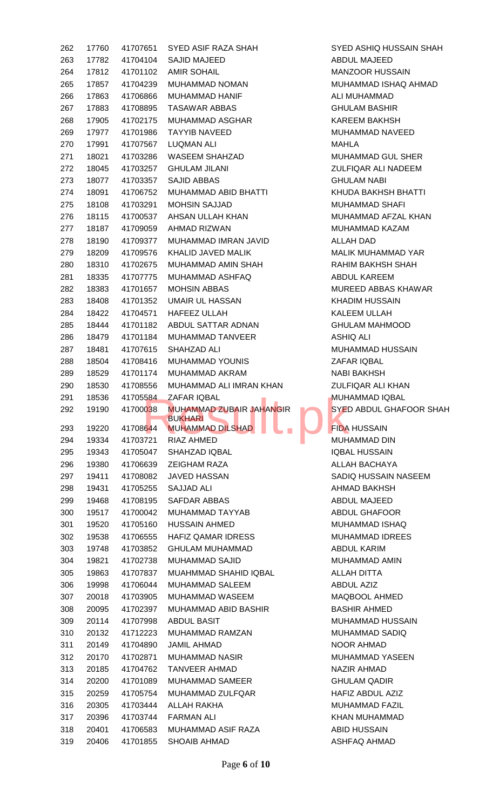| 262        | 17760          |                      | 41707651 SYED ASIF RAZA SHAH                                       | SYED ASHIQ HUSSAIN SHAH             |
|------------|----------------|----------------------|--------------------------------------------------------------------|-------------------------------------|
| 263        | 17782          |                      | 41704104 SAJID MAJEED                                              | ABDUL MAJEED                        |
| 264        | 17812          | 41701102             | <b>AMIR SOHAIL</b>                                                 | <b>MANZOOR HUSSAIN</b>              |
| 265        | 17857          | 41704239             | MUHAMMAD NOMAN                                                     | MUHAMMAD ISHAQ AHMAD                |
| 266        | 17863          | 41706866             | MUHAMMAD HANIF                                                     | ALI MUHAMMAD                        |
| 267        | 17883          | 41708895             | TASAWAR ABBAS                                                      | <b>GHULAM BASHIR</b>                |
| 268        | 17905          | 41702175             | MUHAMMAD ASGHAR                                                    | KAREEM BAKHSH                       |
| 269        | 17977          | 41701986             | TAYYIB NAVEED                                                      | MUHAMMAD NAVEED                     |
|            | 17991          | 41707567             | <b>LUQMAN ALI</b>                                                  | MAHLA                               |
| 270        |                |                      | WASEEM SHAHZAD                                                     | MUHAMMAD GUL SHER                   |
| 271        | 18021          | 41703286             |                                                                    |                                     |
| 272        | 18045          | 41703257             | <b>GHULAM JILANI</b>                                               | ZULFIQAR ALI NADEEM                 |
| 273        | 18077          | 41703357             | SAJID ABBAS                                                        | <b>GHULAM NABI</b>                  |
| 274        | 18091          | 41706752             | MUHAMMAD ABID BHATTI                                               | KHUDA BAKHSH BHATTI                 |
| 275        | 18108          | 41703291             | <b>MOHSIN SAJJAD</b>                                               | MUHAMMAD SHAFI                      |
| 276        | 18115          | 41700537             | AHSAN ULLAH KHAN                                                   | MUHAMMAD AFZAL KHAN                 |
| 277        | 18187          | 41709059             | AHMAD RIZWAN                                                       | MUHAMMAD KAZAM                      |
| 278        | 18190          | 41709377             | MUHAMMAD IMRAN JAVID                                               | ALLAH DAD                           |
| 279        | 18209          | 41709576             | KHALID JAVED MALIK                                                 | MALIK MUHAMMAD YAR                  |
| 280        | 18310          | 41702675             | MUHAMMAD AMIN SHAH                                                 | RAHIM BAKHSH SHAH                   |
| 281        | 18335          | 41707775             | MUHAMMAD ASHFAQ                                                    | ABDUL KAREEM                        |
| 282        | 18383          | 41701657             | <b>MOHSIN ABBAS</b>                                                | MUREED ABBAS KHAWAR                 |
| 283        | 18408          | 41701352             | UMAIR UL HASSAN                                                    | <b>KHADIM HUSSAIN</b>               |
| 284        | 18422          | 41704571             | HAFEEZ ULLAH                                                       | KALEEM ULLAH                        |
| 285        | 18444          | 41701182             | ABDUL SATTAR ADNAN                                                 | <b>GHULAM MAHMOOD</b>               |
| 286        | 18479          | 41701184             | MUHAMMAD TANVEER                                                   | ASHIQ ALI                           |
| 287        | 18481          | 41707615             | SHAHZAD ALI                                                        | MUHAMMAD HUSSAIN                    |
| 288        | 18504          | 41708416             | MUHAMMAD YOUNIS                                                    | ZAFAR IQBAL                         |
| 289        | 18529          | 41701174             | MUHAMMAD AKRAM                                                     | <b>NABI BAKHSH</b>                  |
| 290        | 18530          | 41708556             | MUHAMMAD ALI IMRAN KHAN                                            | ZULFIQAR ALI KHAN                   |
|            |                |                      |                                                                    |                                     |
|            |                |                      |                                                                    |                                     |
| 291        | 18536          | 41705584             | ZAFAR IQBAL<br><b>Contract Contract Contract Contract Contract</b> | <b>MUHAMMAD IQBAL</b>               |
| 292        | 19190          | 41700038             | <b>MUHAMMAD ZUBAIR JAHANGIR</b><br><b>BUKHARI</b>                  | SYED ABDUL GHAFOOR SHAH             |
| 293        | 19220          | 41708644             | <b>MUHAMMAD DILSHAD</b>                                            | <b>FIDA HUSSAIN</b>                 |
| 294        | 19334          | 41703721             | RIAZ AHMED                                                         | <b>MUHAMMAD DIN</b>                 |
| 295        | 19343          | 41705047             | <b>SHAHZAD IQBAL</b>                                               | <b>IQBAL HUSSAIN</b>                |
| 296        | 19380          | 41706639             | ZEIGHAM RAZA                                                       | ALLAH BACHAYA                       |
| 297        | 19411          | 41708082             | JAVED HASSAN                                                       | SADIQ HUSSAIN NASEEM                |
| 298        | 19431          | 41705255             | <b>SAJJAD ALI</b>                                                  | AHMAD BAKHSH                        |
| 299        | 19468          | 41708195             | SAFDAR ABBAS                                                       | ABDUL MAJEED                        |
| 300        | 19517          | 41700042             | MUHAMMAD TAYYAB                                                    | <b>ABDUL GHAFOOR</b>                |
| 301        | 19520          | 41705160             | <b>HUSSAIN AHMED</b>                                               | MUHAMMAD ISHAQ                      |
| 302        | 19538          | 41706555             | <b>HAFIZ QAMAR IDRESS</b>                                          | <b>MUHAMMAD IDREES</b>              |
| 303        | 19748          | 41703852             | <b>GHULAM MUHAMMAD</b>                                             | <b>ABDUL KARIM</b>                  |
| 304        | 19821          | 41702738             | <b>MUHAMMAD SAJID</b>                                              | MUHAMMAD AMIN                       |
|            |                |                      |                                                                    |                                     |
| 305        | 19863          | 41707837             | MUAHMMAD SHAHID IQBAL                                              | ALLAH DITTA                         |
| 306        | 19998          | 41706044             | MUHAMMAD SALEEM                                                    | <b>ABDUL AZIZ</b>                   |
| 307        | 20018          | 41703905             | MUHAMMAD WASEEM                                                    | MAQBOOL AHMED                       |
| 308        | 20095          | 41702397             | MUHAMMAD ABID BASHIR                                               | <b>BASHIR AHMED</b>                 |
| 309        | 20114          | 41707998             | ABDUL BASIT                                                        | MUHAMMAD HUSSAIN                    |
| 310        | 20132          | 41712223             | MUHAMMAD RAMZAN                                                    | MUHAMMAD SADIQ                      |
| 311        | 20149          | 41704890             | <b>JAMIL AHMAD</b>                                                 | NOOR AHMAD                          |
| 312        | 20170          | 41702871             | MUHAMMAD NASIR                                                     | MUHAMMAD YASEEN                     |
| 313        | 20185          | 41704762             | <b>TANVEER AHMAD</b>                                               | NAZIR AHMAD                         |
| 314        | 20200          | 41701089             | MUHAMMAD SAMEER                                                    | <b>GHULAM QADIR</b>                 |
| 315        | 20259          | 41705754             | MUHAMMAD ZULFQAR                                                   | HAFIZ ABDUL AZIZ                    |
| 316        | 20305          | 41703444             | ALLAH RAKHA                                                        | <b>MUHAMMAD FAZIL</b>               |
| 317        | 20396          | 41703744             | <b>FARMAN ALI</b>                                                  | KHAN MUHAMMAD                       |
| 318<br>319 | 20401<br>20406 | 41706583<br>41701855 | MUHAMMAD ASIF RAZA<br>SHOAIB AHMAD                                 | ABID HUSSAIN<br><b>ASHFAQ AHMAD</b> |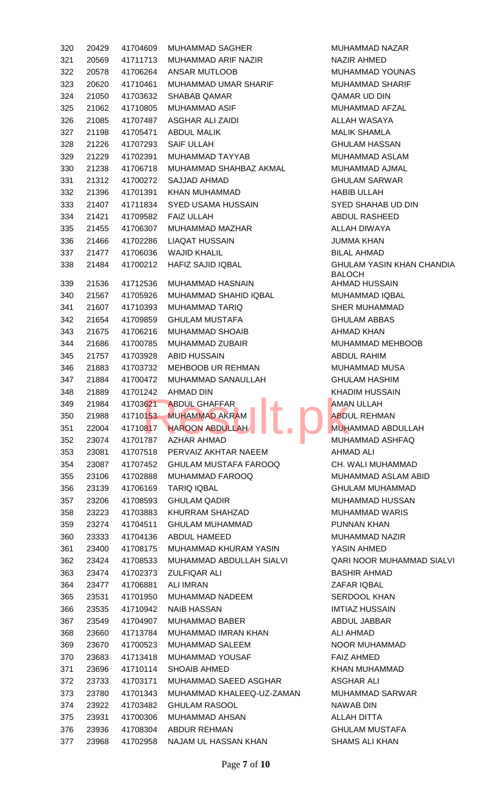| 320 | 20429 | 41704609       | <b>MUHAMMAD SAGHER</b>                                    | <b>MUH</b>  |
|-----|-------|----------------|-----------------------------------------------------------|-------------|
| 321 | 20569 | 41711713       | MUHAMMAD ARIF NAZIR                                       | <b>NAZI</b> |
| 322 | 20578 | 41706264       | ANSAR MUTLOOB                                             | <b>MUH</b>  |
| 323 | 20620 | 41710461       | MUHAMMAD UMAR SHARIF                                      | <b>MUH</b>  |
| 324 | 21050 | 41703632       | <b>SHABAB QAMAR</b>                                       | QAM         |
| 325 | 21062 | 41710805       | <b>MUHAMMAD ASIF</b>                                      | <b>MUH</b>  |
| 326 | 21085 | 41707487       | <b>ASGHAR ALI ZAIDI</b>                                   | <b>ALLA</b> |
| 327 | 21198 | 41705471       | <b>ABDUL MALIK</b>                                        | <b>MALI</b> |
| 328 | 21226 | 41707293       | <b>SAIF ULLAH</b>                                         | <b>GHU</b>  |
| 329 | 21229 | 41702391       | MUHAMMAD TAYYAB                                           | <b>MUH</b>  |
| 330 | 21238 | 41706718       | MUHAMMAD SHAHBAZ AKMAL                                    | <b>MUH</b>  |
| 331 | 21312 | 41700272       | SAJJAD AHMAD                                              | <b>GHU</b>  |
| 332 | 21396 | 41701391       | <b>KHAN MUHAMMAD</b>                                      | <b>HABI</b> |
| 333 | 21407 | 41711834       | <b>SYED USAMA HUSSAIN</b>                                 | <b>SYED</b> |
| 334 | 21421 | 41709582       | <b>FAIZ ULLAH</b>                                         | <b>ABDI</b> |
| 335 | 21455 | 41706307       | MUHAMMAD MAZHAR                                           | <b>ALLA</b> |
| 336 | 21466 | 41702286       | <b>LIAQAT HUSSAIN</b>                                     | <b>JUMI</b> |
| 337 | 21477 | 41706036       | <b>WAJID KHALIL</b>                                       | <b>BILA</b> |
| 338 | 21484 | 41700212       | <b>HAFIZ SAJID IQBAL</b>                                  | <b>GHU</b>  |
|     |       |                |                                                           | <b>BALC</b> |
| 339 | 21536 | 41712536       | <b>MUHAMMAD HASNAIN</b>                                   | AHM.        |
| 340 | 21567 | 41705926       | MUHAMMAD SHAHID IQBAL                                     | <b>MUH</b>  |
| 341 | 21607 | 41710393       | <b>MUHAMMAD TARIQ</b>                                     | <b>SHEI</b> |
| 342 | 21654 | 41709859       | <b>GHULAM MUSTAFA</b>                                     | <b>GHU</b>  |
| 343 | 21675 | 41706216       | <b>MUHAMMAD SHOAIB</b>                                    | AHM.        |
| 344 | 21686 | 41700785       | <b>MUHAMMAD ZUBAIR</b>                                    | <b>MUH</b>  |
| 345 | 21757 | 41703928       | <b>ABID HUSSAIN</b>                                       | <b>ABDI</b> |
| 346 | 21883 | 41703732       | MEHBOOB UR REHMAN                                         | <b>MUH</b>  |
| 347 | 21884 | 41700472       | MUHAMMAD SANAULLAH                                        | <b>GHU</b>  |
| 348 | 21889 | 41701242       | AHMAD DIN                                                 | <b>KHAI</b> |
| 349 |       | 21984 41703621 | <b>ABDUL GHAFFAR</b><br><b>Contract Contract Contract</b> | AMA         |
| 350 | 21988 | 41710153       | E.<br><b>MUHAMMAD AKRAM</b>                               | <b>ABDI</b> |
| 351 | 22004 | 41710817       | <b>HAROON ABDULLAH</b>                                    | <b>MUH</b>  |
| 352 | 23074 | 41701787       | AZHAR AHMAD                                               | <b>MUH</b>  |
| 353 | 23081 | 41707518       | PERVAIZ AKHTAR NAEEM                                      | AHM.        |
| 354 | 23087 | 41707452       | <b>GHULAM MUSTAFA FAROOQ</b>                              | CH.V        |
| 355 | 23106 | 41702888       | MUHAMMAD FAROOQ                                           | <b>MUH</b>  |
| 356 | 23139 | 41706169       | <b>TARIQ IQBAL</b>                                        | <b>GHU</b>  |
| 357 | 23206 | 41708593       | <b>GHULAM QADIR</b>                                       | <b>MUH</b>  |
| 358 | 23223 | 41703883       | KHURRAM SHAHZAD                                           | <b>MUH</b>  |
| 359 | 23274 | 41704511       | <b>GHULAM MUHAMMAD</b>                                    | <b>PUNI</b> |
| 360 | 23333 | 41704136       | ABDUL HAMEED                                              | <b>MUH</b>  |
| 361 | 23400 | 41708175       | MUHAMMAD KHURAM YASIN                                     | <b>YASI</b> |
| 362 | 23424 | 41708533       | MUHAMMAD ABDULLAH SIALVI                                  | <b>QARI</b> |
| 363 | 23474 | 41702373       | <b>ZULFIQAR ALI</b>                                       | <b>BAS</b>  |
| 364 | 23477 | 41706881       | <b>ALI IMRAN</b>                                          | <b>ZAFA</b> |
| 365 | 23531 | 41701950       | MUHAMMAD NADEEM                                           | <b>SERI</b> |
| 366 | 23535 | 41710942       | <b>NAIB HASSAN</b>                                        | IMTI/       |
| 367 | 23549 | 41704907       | <b>MUHAMMAD BABER</b>                                     | <b>ABDI</b> |
| 368 | 23660 | 41713784       | MUHAMMAD IMRAN KHAN                                       | ALI A       |
| 369 | 23670 | 41700523       | <b>MUHAMMAD SALEEM</b>                                    | <b>NOO</b>  |
| 370 | 23683 | 41713418       | <b>MUHAMMAD YOUSAF</b>                                    | <b>FAIZ</b> |
| 371 | 23696 | 41710114       | <b>SHOAIB AHMED</b>                                       | KHAI        |
| 372 | 23733 | 41703171       | MUHAMMAD SAEED ASGHAR                                     | <b>ASGI</b> |
| 373 | 23780 | 41701343       | MUHAMMAD KHALEEQ-UZ-ZAMAN                                 | <b>MUH</b>  |
| 374 | 23922 | 41703482       | <b>GHULAM RASOOL</b>                                      | <b>NAW</b>  |
| 375 | 23931 | 41700306       | <b>MUHAMMAD AHSAN</b>                                     | <b>ALLA</b> |
| 376 | 23936 | 41708304       | <b>ABDUR REHMAN</b>                                       | <b>GHU</b>  |
| 377 | 23968 | 41702958       | NAJAM UL HASSAN KHAN                                      | <b>SHAI</b> |
|     |       |                |                                                           |             |

MUHAMMAD NAZAR NAZIR AHMED MUHAMMAD YOUNAS MUHAMMAD SHARIF QAMAR UD DIN MUHAMMAD AFZAL ALLAH WASAYA MALIK SHAMLA **GHULAM HASSAN** MUHAMMAD ASLAM MUHAMMAD AJMAL **GHULAM SARWAR** HABIB ULLAH SYED SHAHAB UD DIN ABDUL RASHEED ALLAH DIWAYA **JUMMA KHAN** BILAL AHMAD **GHULAM YASIN KHAN CHANDIA** BALOCH AHMAD HUSSAIN MUHAMMAD IQBAL SHER MUHAMMAD **GHULAM ABBAS** AHMAD KHAN MUHAMMAD MEHBOOB ABDUL RAHIM MUHAMMAD MUSA **GHULAM HASHIM** KHADIM HUSSAIN AMAN ULLAH **ABDUL REHMAN** MUHAMMAD ABDULLAH MUHAMMAD ASHFAQ AHMAD ALI CH. WALI MUHAMMAD MUHAMMAD ASLAM ABID GHULAM MUHAMMAD MUHAMMAD HUSSAN MUHAMMAD WARIS PUNNAN KHAN MUHAMMAD NAZIR YASIN AHMED QARI NOOR MUHAMMAD SIALVI BASHIR AHMAD ZAFAR IQBAL SERDOOL KHAN **IMTIAZ HUSSAIN** ABDUL JABBAR ALI AHMAD NOOR MUHAMMAD FAIZ AHMED KHAN MUHAMMAD ASGHAR ALI MUHAMMAD SARWAR NAWAB DIN ALLAH DITTA **GHULAM MUSTAFA** SHAMS ALI KHAN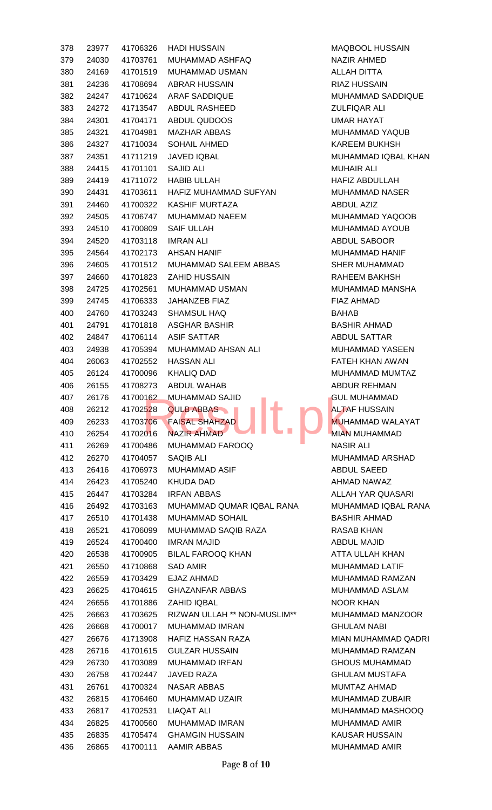| 378 | 23977          | 41706326 | <b>HADI HUSSAIN</b>            | <b>MAQBC</b>      |
|-----|----------------|----------|--------------------------------|-------------------|
| 379 | 24030          | 41703761 | MUHAMMAD ASHFAQ                | NAZIR .           |
| 380 | 24169          |          | 41701519 MUHAMMAD USMAN        | <b>ALLAH</b>      |
| 381 | 24236          | 41708694 | ABRAR HUSSAIN                  | RIAZ H            |
| 382 | 24247          | 41710624 | <b>ARAF SADDIQUE</b>           | <b>MUHAN</b>      |
| 383 | 24272          | 41713547 | ABDUL RASHEED                  | <b>ZULFIC</b>     |
| 384 | 24301          | 41704171 | ABDUL QUDOOS                   | <b>UMAR1</b>      |
| 385 | 24321          | 41704981 | <b>MAZHAR ABBAS</b>            | <b>MUHAN</b>      |
| 386 | 24327          | 41710034 | SOHAIL AHMED                   | <b>KAREE</b>      |
| 387 | 24351          | 41711219 | <b>JAVED IQBAL</b>             | <b>MUHAN</b>      |
| 388 | 24415          | 41701101 | <b>SAJID ALI</b>               | <b>MUHAII</b>     |
| 389 | 24419          | 41711072 | <b>HABIB ULLAH</b>             | HAFIZ /           |
| 390 | 24431          | 41703611 | HAFIZ MUHAMMAD SUFYAN          | <b>MUHAN</b>      |
| 391 | 24460          | 41700322 | KASHIF MURTAZA                 | <b>ABDUL</b>      |
| 392 | 24505          | 41706747 | MUHAMMAD NAEEM                 | <b>MUHAN</b>      |
| 393 | 24510          | 41700809 | <b>SAIF ULLAH</b>              | <b>MUHAN</b>      |
| 394 | 24520          | 41703118 | <b>IMRAN ALI</b>               | <b>ABDUL</b>      |
| 395 | 24564          | 41702173 | <b>AHSAN HANIF</b>             | <b>MUHAN</b>      |
| 396 | 24605          |          | 41701512 MUHAMMAD SALEEM ABBAS | SHER <sub>N</sub> |
| 397 | 24660          | 41701823 | <b>ZAHID HUSSAIN</b>           | <b>RAHEE</b>      |
| 398 | 24725          | 41702561 | MUHAMMAD USMAN                 | <b>MUHAN</b>      |
| 399 | 24745          | 41706333 | JAHANZEB FIAZ                  | <b>FIAZ AI</b>    |
| 400 | 24760          | 41703243 | <b>SHAMSUL HAQ</b>             | <b>BAHAB</b>      |
| 401 | 24791          | 41701818 | <b>ASGHAR BASHIR</b>           | <b>BASHIF</b>     |
| 402 | 24847          | 41706114 | <b>ASIF SATTAR</b>             | <b>ABDUL</b>      |
| 403 | 24938          | 41705394 | MUHAMMAD AHSAN ALI             | <b>MUHAN</b>      |
| 404 | 26063          | 41702552 | <b>HASSAN ALI</b>              | <b>FATEH</b>      |
| 405 | 26124          | 41700096 | <b>KHALIQ DAD</b>              | <b>MUHAN</b>      |
| 406 | 26155          | 41708273 | <b>ABDUL WAHAB</b>             | <b>ABDUR</b>      |
| 407 | 26176          |          | 41700162 MUHAMMAD SAJID        | <b>GUL MI</b>     |
| 408 | 26212          | 41702528 | <b>QULB ABBAS</b>              | <b>ALTAF</b>      |
| 409 | 26233          | 41703706 | an a<br><b>FAISAL SHAHZAD</b>  | <b>MUHAN</b>      |
| 410 | 26254          | 41702016 | <b>NAZIR AHMAD</b>             | <b>MIAN M</b>     |
| 411 |                | 41700486 | MUHAMMAD FAROOQ                | <b>NASIR</b>      |
| 412 | 26269          | 41704057 | <b>SAQIB ALI</b>               | <b>MUHAN</b>      |
| 413 | 26270<br>26416 | 41706973 | <b>MUHAMMAD ASIF</b>           | <b>ABDUL</b>      |
| 414 |                |          | <b>KHUDA DAD</b>               | <b>AHMAD</b>      |
|     | 26423          | 41705240 |                                |                   |
| 415 | 26447          | 41703284 | <b>IRFAN ABBAS</b>             | <b>ALLAH</b>      |
| 416 | 26492          |          |                                |                   |
|     |                | 41703163 | MUHAMMAD QUMAR IQBAL RANA      | <b>MUHAN</b>      |
| 417 | 26510          | 41701438 | MUHAMMAD SOHAIL                | <b>BASHIF</b>     |
| 418 | 26521          | 41706099 | MUHAMMAD SAQIB RAZA            | <b>RASAB</b>      |
| 419 | 26524          | 41700400 | <b>IMRAN MAJID</b>             | <b>ABDUL</b>      |
| 420 | 26538          | 41700905 | <b>BILAL FAROOQ KHAN</b>       | ATTA <sub>U</sub> |
| 421 | 26550          | 41710868 | <b>SAD AMIR</b>                | <b>MUHAN</b>      |
| 422 | 26559          | 41703429 | EJAZ AHMAD                     | <b>MUHAN</b>      |
| 423 | 26625          | 41704615 | <b>GHAZANFAR ABBAS</b>         | <b>MUHAN</b>      |
| 424 | 26656          | 41701886 | ZAHID IQBAL                    | NOOR              |
| 425 | 26663          | 41703625 | RIZWAN ULLAH ** NON-MUSLIM**   | <b>MUHAN</b>      |
| 426 | 26668          | 41700017 | <b>MUHAMMAD IMRAN</b>          | <b>GHULA</b>      |
| 427 | 26676          | 41713908 | <b>HAFIZ HASSAN RAZA</b>       | <b>MIAN M</b>     |
| 428 | 26716          | 41701615 | <b>GULZAR HUSSAIN</b>          | <b>MUHAN</b>      |
| 429 | 26730          | 41703089 | <b>MUHAMMAD IRFAN</b>          | <b>GHOUS</b>      |
| 430 | 26758          | 41702447 | <b>JAVED RAZA</b>              | <b>GHULA</b>      |
| 431 | 26761          | 41700324 | <b>NASAR ABBAS</b>             | <b>MUMTA</b>      |
| 432 | 26815          | 41706460 | MUHAMMAD UZAIR                 | <b>MUHAN</b>      |
| 433 | 26817          | 41702531 | <b>LIAQAT ALI</b>              | <b>MUHAN</b>      |
| 434 | 26825          | 41700560 | <b>MUHAMMAD IMRAN</b>          | <b>MUHAN</b>      |
| 435 | 26835          | 41705474 | <b>GHAMGIN HUSSAIN</b>         | <b>KAUSA</b>      |

MAQBOOL HUSSAIN NAZIR AHMED ALLAH DITTA **RIAZ HUSSAIN** MUHAMMAD SADDIQUE **ZULFIQAR ALI** UMAR HAYAT MUHAMMAD YAQUB KAREEM BUKHSH MUHAMMAD IQBAL KHAN **MUHAIR ALI** HAFIZ ABDULLAH MUHAMMAD NASER ABDUL AZIZ MUHAMMAD YAQOOB MUHAMMAD AYOUB ABDUL SABOOR MUHAMMAD HANIF SHER MUHAMMAD RAHEEM BAKHSH MUHAMMAD MANSHA FIAZ AHMAD BASHIR AHMAD ABDUL SATTAR MUHAMMAD YASEEN FATEH KHAN AWAN MUHAMMAD MUMTAZ ABDUR REHMAN **GUL MUHAMMAD ALTAF HUSSAIN** MUHAMMAD WALAYAT MIAN MUHAMMAD **NASIR ALI** MUHAMMAD ARSHAD ABDUL SAEED AHMAD NAWAZ ALLAH YAR QUASARI MUHAMMAD IQBAL RANA BASHIR AHMAD RASAB KHAN ABDUL MAJID ATTA ULLAH KHAN MUHAMMAD LATIF MUHAMMAD RAMZAN MUHAMMAD ASLAM NOOR KHAN MUHAMMAD MANZOOR **GHULAM NABI** MIAN MUHAMMAD QADRI MUHAMMAD RAMZAN **GHOUS MUHAMMAD GHULAM MUSTAFA** MUMTAZ AHMAD MUHAMMAD ZUBAIR MUHAMMAD MASHOOQ MUHAMMAD AMIR KAUSAR HUSSAIN MUHAMMAD AMIR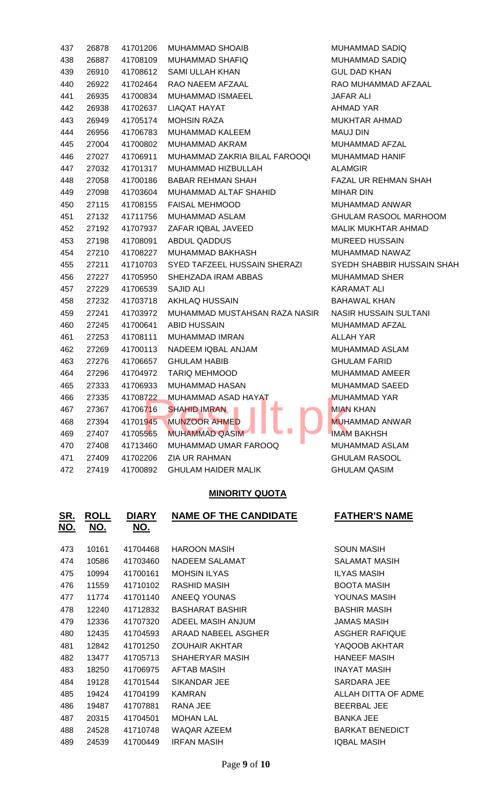| 437 | 26878 | 41701206 | <b>MUHAMMAD SHOAIB</b>        | <b>MUH</b>  |
|-----|-------|----------|-------------------------------|-------------|
| 438 | 26887 | 41708109 | <b>MUHAMMAD SHAFIQ</b>        | <b>MUH</b>  |
| 439 | 26910 | 41708612 | <b>SAMI ULLAH KHAN</b>        | <b>GUL</b>  |
| 440 | 26922 | 41702464 | RAO NAEEM AFZAAL              | <b>RAO</b>  |
| 441 | 26935 | 41700834 | MUHAMMAD ISMAEEL              | <b>JAFA</b> |
| 442 | 26938 | 41702637 | LIAQAT HAYAT                  | AHM.        |
| 443 | 26949 | 41705174 | <b>MOHSIN RAZA</b>            | <b>MUK</b>  |
| 444 | 26956 | 41706783 | MUHAMMAD KALEEM               | MAU         |
| 445 | 27004 | 41700802 | <b>MUHAMMAD AKRAM</b>         | <b>MUH</b>  |
| 446 | 27027 | 41706911 | MUHAMMAD ZAKRIA BILAL FAROOQI | <b>MUH</b>  |
| 447 | 27032 | 41701317 | MUHAMMAD HIZBULLAH            | <b>ALAN</b> |
| 448 | 27058 | 41700186 | <b>BABAR REHMAN SHAH</b>      | <b>FAZA</b> |
| 449 | 27098 | 41703604 | MUHAMMAD ALTAF SHAHID         | <b>MIHA</b> |
| 450 | 27115 | 41708155 | <b>FAISAL MEHMOOD</b>         | <b>MUH</b>  |
| 451 | 27132 | 41711756 | MUHAMMAD ASLAM                | <b>GHU</b>  |
| 452 | 27192 | 41707937 | ZAFAR IQBAL JAVEED            | <b>MALI</b> |
| 453 | 27198 | 41708091 | <b>ABDUL QADDUS</b>           | <b>MUR</b>  |
| 454 | 27210 | 41708227 | MUHAMMAD BAKHASH              | <b>MUH</b>  |
| 455 | 27211 | 41710703 | SYED TAFZEEL HUSSAIN SHERAZI  | <b>SYED</b> |
| 456 | 27227 | 41705950 | SHEHZADA IRAM ABBAS           | <b>MUH</b>  |
| 457 | 27229 | 41706539 | <b>SAJID ALI</b>              | KAR/        |
| 458 | 27232 | 41703718 | AKHLAQ HUSSAIN                | BAH/        |
| 459 | 27241 | 41703972 | MUHAMMAD MUSTAHSAN RAZA NASIR | <b>NASI</b> |
| 460 | 27245 | 41700641 | <b>ABID HUSSAIN</b>           | <b>MUH</b>  |
| 461 | 27253 | 41708111 | <b>MUHAMMAD IMRAN</b>         | <b>ALLA</b> |
| 462 | 27269 | 41700113 | NADEEM IQBAL ANJAM            | <b>MUH</b>  |
| 463 | 27276 | 41706657 | <b>GHULAM HABIB</b>           | <b>GHU</b>  |
| 464 | 27296 | 41704972 | <b>TARIQ MEHMOOD</b>          | <b>MUH</b>  |
| 465 | 27333 | 41706933 | <b>MUHAMMAD HASAN</b>         | <b>MUH</b>  |
| 466 | 27335 | 41708722 | MUHAMMAD ASAD HAYAT           | <b>MUH</b>  |
| 467 | 27367 | 41706716 | <b>SHAHID IMRAN</b>           | <b>MIAN</b> |
| 468 | 27394 | 41701945 | <b>MUNZOOR AHMED</b>          | <b>MUH</b>  |
| 469 | 27407 | 41705565 | <b>MUHAMMAD QASIM</b>         | <b>IMAN</b> |
| 470 | 27408 | 41713460 | MUHAMMAD UMAR FAROOQ          | <b>MUH</b>  |
| 471 | 27409 | 41702206 | <b>ZIA UR RAHMAN</b>          | <b>GHU</b>  |
| 472 | 27419 | 41700892 | <b>GHULAM HAIDER MALIK</b>    | <b>GHU</b>  |

### **MINORITY QUOTA**

| <b>ROLL</b><br><u>NO.</u> | <b>DIARY</b><br>NO. | <b>NAME OF THE CANDIDATE</b> | <b>FATHER'S NAME</b>   |
|---------------------------|---------------------|------------------------------|------------------------|
| 10161                     | 41704468            | <b>HAROON MASIH</b>          | <b>SOUN MASIH</b>      |
| 10586                     | 41703460            | NADEEM SALAMAT               | SALAMAT MASIH          |
| 10994                     | 41700161            | <b>MOHSIN ILYAS</b>          | <b>ILYAS MASIH</b>     |
| 11559                     | 41710102            | RASHID MASIH                 | <b>BOOTA MASIH</b>     |
| 11774                     | 41701140            | ANEEQ YOUNAS                 | YOUNAS MASIH           |
| 12240                     | 41712832            | <b>BASHARAT BASHIR</b>       | <b>BASHIR MASIH</b>    |
| 12336                     | 41707320            | ADEEL MASIH ANJUM            | <b>JAMAS MASIH</b>     |
| 12435                     | 41704593            | ARAAD NABEEL ASGHER          | ASGHER RAFIQUE         |
| 12842                     | 41701250            | <b>ZOUHAIR AKHTAR</b>        | YAQOOB AKHTAR          |
| 13477                     | 41705713            | SHAHERYAR MASIH              | <b>HANEEF MASIH</b>    |
| 18250                     | 41706975            | AFTAB MASIH                  | <b>INAYAT MASIH</b>    |
| 19128                     | 41701544            | SIKANDAR JEE                 | SARDARA JEE            |
| 19424                     | 41704199            | <b>KAMRAN</b>                | ALLAH DITTA OF ADME    |
| 19487                     | 41707881            | RANA JEE                     | <b>BEERBAL JEE</b>     |
| 20315                     | 41704501            | <b>MOHAN LAL</b>             | <b>BANKA JEE</b>       |
| 24528                     | 41710748            | <b>WAQAR AZEEM</b>           | <b>BARKAT BENEDICT</b> |
| 24539                     | 41700449            | <b>IRFAN MASIH</b>           | <b>IQBAL MASIH</b>     |
|                           |                     |                              |                        |

MUHAMMAD SADIQ MUHAMMAD SADIQ **GUL DAD KHAN** RAO MUHAMMAD AFZAAL **JAFAR ALI** AHMAD YAR MUKHTAR AHMAD MAUJ DIN MUHAMMAD AFZAL MUHAMMAD HANIF **ALAMGIR** FAZAL UR REHMAN SHAH MIHAR DIN MUHAMMAD ANWAR GHULAM RASOOL MARHOOM MALIK MUKHTAR AHMAD MUREED HUSSAIN MUHAMMAD NAWAZ **SYEDH SHABBIR HUSSAIN SHAH** MUHAMMAD SHER KARAMAT ALI BAHAWAL KHAN NASIR HUSSAIN SULTANI MUHAMMAD AFZAL ALLAH YAR MUHAMMAD ASLAM **GHULAM FARID** MUHAMMAD AMEER MUHAMMAD SAEED MUHAMMAD YAR **MIAN KHAN MUHAMMAD ANWAR IMAM BAKHSH** MUHAMMAD ASLAM GHULAM RASOOL GHULAM QASIM